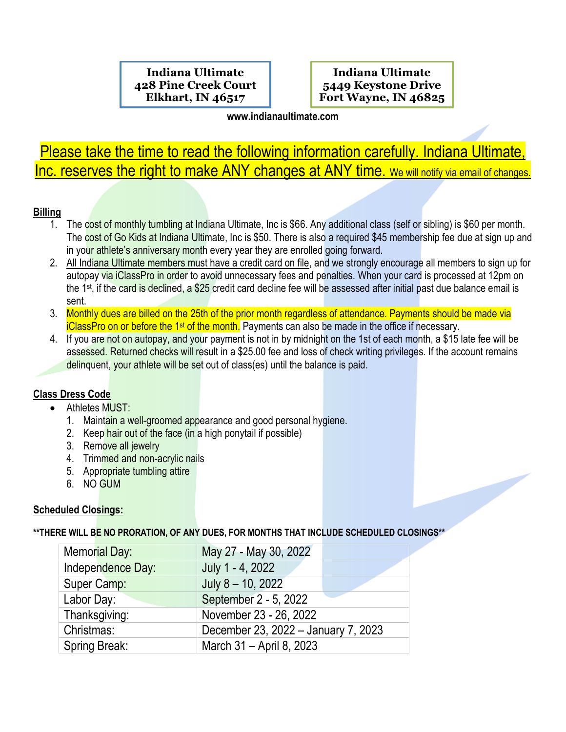#### **Indiana Ultimate 428 Pine Creek Court Elkhart, IN 46517**

**Indiana Ultimate 5449 Keystone Drive Fort Wayne, IN 46825**

**www.indianaultimate.com**

Please take the time to read the following information carefully. Indiana Ultimate, Inc. reserves the right to make ANY changes at ANY time. We will notify via email of changes.

#### **Billing**

- 1. The cost of monthly tumbling at Indiana Ultimate, Inc is \$66. Any additional class (self or sibling) is \$60 per month. The cost of Go Kids at Indiana Ultimate, Inc is \$50. There is also a required \$45 membership fee due at sign up and in your athlete's anniversary month every year they are enrolled going forward.
- 2. All Indiana Ultimate members must have a credit card on file, and we strongly encourage all members to sign up for autopay via iClassPro in order to avoid unnecessary fees and penalties. When your card is processed at 12pm on the 1st, if the card is declined, a \$25 credit card decline fee will be assessed after initial past due balance email is sent.
- 3. Monthly dues are billed on the 25th of the prior month regardless of attendance. Payments should be made via iClassPro on or before the 1<sup>st</sup> of the month. Payments can also be made in the office if necessary.
- 4. If you are not on autopay, and your payment is not in by midnight on the 1st of each month, a \$15 late fee will be assessed. Returned checks will result in a \$25.00 fee and loss of check writing privileges. If the account remains delinquent, your athlete will be set out of class(es) until the balance is paid.

## **Class Dress Code**

#### Athletes MUST:

- 1. Maintain a well-groomed appearance and good personal hygiene.
- 2. Keep hair out of the face (in a high ponytail if possible)
- 3. Remove all jewelry
- 4. Trimmed and non-acrylic nails
- 5. Appropriate tumbling attire
- 6. NO GUM

## **Scheduled Closings:**

#### **\*\*THERE WILL BE NO PRORATION, OF ANY DUES, FOR MONTHS THAT INCLUDE SCHEDULED CLOSINGS\*\***

| Memorial Day:        | May 27 - May 30, 2022               |  |
|----------------------|-------------------------------------|--|
| Independence Day:    | July 1 - 4, 2022                    |  |
| Super Camp:          | July 8 - 10, 2022                   |  |
| Labor Day:           | September 2 - 5, 2022               |  |
| Thanksgiving:        | November 23 - 26, 2022              |  |
| Christmas:           | December 23, 2022 - January 7, 2023 |  |
| <b>Spring Break:</b> | March 31 - April 8, 2023            |  |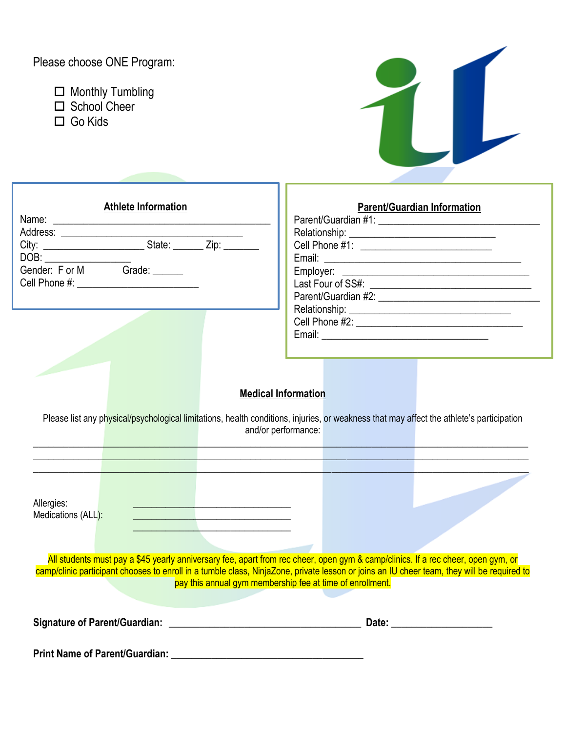|  |  |  | Please choose ONE Program: |
|--|--|--|----------------------------|
|--|--|--|----------------------------|

 $\square$  Monthly Tumbling

- □ School Cheer
- Go Kids



| <b>Athlete Information</b><br>Name: Name: Name: Name: Name: Name: Name: Name: Name: Name: Name: Name: Name: Name: Name: Name: Name: Name: Name: Name: Name: Name: Name: Name: Name: Name: Name: Name: Name: Name: Name: Name: Name: Name: Name: Name: Name:<br>DOB: Gender: F or M Grade: ______ | <b>Parent/Guardian Information</b><br>Cell Phone #1: _____________________________                                                                                                                                                   |
|--------------------------------------------------------------------------------------------------------------------------------------------------------------------------------------------------------------------------------------------------------------------------------------------------|--------------------------------------------------------------------------------------------------------------------------------------------------------------------------------------------------------------------------------------|
|                                                                                                                                                                                                                                                                                                  | <b>Medical Information</b><br>Please list any physical/psychological limitations, health conditions, injuries, or weakness that may affect the athlete's participation<br>and/or performance:                                        |
| Allergies:                                                                                                                                                                                                                                                                                       | All students must pay a \$45 yearly anniversary fee, apart from rec cheer, open gym & camp/clinics. If a rec cheer, open gym, or                                                                                                     |
| Medications (ALL):                                                                                                                                                                                                                                                                               | camp/clinic participant chooses to enroll in a tumble class, NinjaZone, private lesson or joins an IU cheer team, they will be required to                                                                                           |
|                                                                                                                                                                                                                                                                                                  | pay this annual gym membership fee at time of enrollment.                                                                                                                                                                            |
|                                                                                                                                                                                                                                                                                                  | Date: <u>with the same of the same of the same of the same of the same of the same of the same of the same of the same of the same of the same of the same of the same of the same of the same of the same of the same of the sa</u> |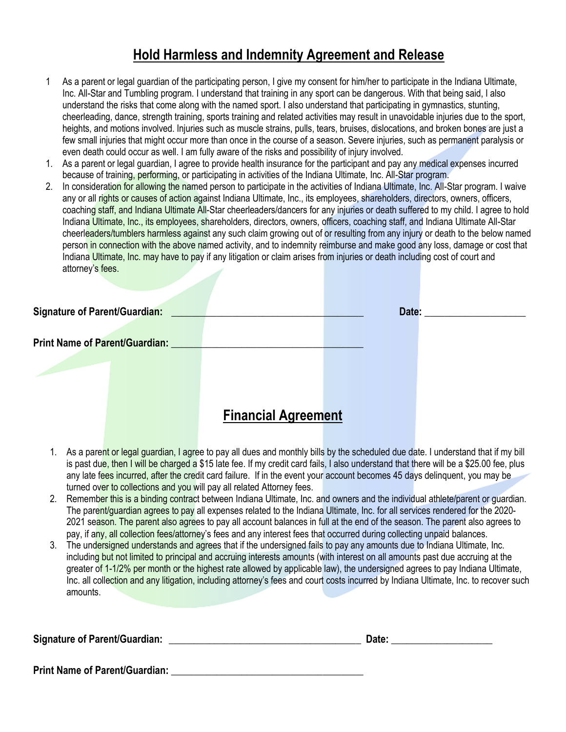## **Hold Harmless and Indemnity Agreement and Release**

- 1 As a parent or legal guardian of the participating person, I give my consent for him/her to participate in the Indiana Ultimate, Inc. All-Star and Tumbling program. I understand that training in any sport can be dangerous. With that being said, I also understand the risks that come along with the named sport. I also understand that participating in gymnastics, stunting, cheerleading, dance, strength training, sports training and related activities may result in unavoidable injuries due to the sport, heights, and motions involved. Injuries such as muscle strains, pulls, tears, bruises, dislocations, and broken bones are just a few small injuries that might occur more than once in the course of a season. Severe injuries, such as permanent paralysis or even death could occur as well. I am fully aware of the risks and possibility of injury involved.
- 1. As a parent or legal guardian, I agree to provide health insurance for the participant and pay any medical expenses incurred because of training, performing, or participating in activities of the Indiana Ultimate, Inc. All-Star program.
- 2. In consideration for allowing the named person to participate in the activities of Indiana Ultimate, Inc. All-Star program. I waive any or all rights or causes of action against Indiana Ultimate, Inc., its employees, shareholders, directors, owners, officers, coaching staff, and Indiana Ultimate All-Star cheerleaders/dancers for any injuries or death suffered to my child. I agree to hold Indiana Ultimate, Inc., its employees, shareholders, directors, owners, officers, coaching staff, and Indiana Ultimate All-Star cheerleaders/tumblers harmless against any such claim growing out of or resulting from any injury or death to the below named person in connection with the above named activity, and to indemnity reimburse and make good any loss, damage or cost that Indiana Ultimate, Inc. may have to pay if any litigation or claim arises from injuries or death including cost of court and attorney's fees.

| <b>Signature of Parent/Guardian:</b> |                                       |                            | Date: |  |
|--------------------------------------|---------------------------------------|----------------------------|-------|--|
|                                      | Print Name of Parent/Guardian: ______ |                            |       |  |
|                                      |                                       |                            |       |  |
|                                      |                                       |                            |       |  |
|                                      |                                       | <b>Financial Agreement</b> |       |  |

- 1. As a parent or legal guardian, I agree to pay all dues and monthly bills by the scheduled due date. I understand that if my bill is past due, then I will be charged a \$15 late fee. If my credit card fails, I also understand that there will be a \$25.00 fee, plus any late fees incurred, after the credit card failure. If in the event your account becomes 45 days delinquent, you may be turned over to collections and you will pay all related Attorney fees.
- 2. Remember this is a binding contract between Indiana Ultimate, Inc. and owners and the individual athlete/parent or guardian. The parent/guardian agrees to pay all expenses related to the Indiana Ultimate, Inc. for all services rendered for the 2020-2021 season. The parent also agrees to pay all account balances in full at the end of the season. The parent also agrees to pay, if any, all collection fees/attorney's fees and any interest fees that occurred during collecting unpaid balances.
- 3. The undersigned understands and agrees that if the undersigned fails to pay any amounts due to Indiana Ultimate, Inc. including but not limited to principal and accruing interests amounts (with interest on all amounts past due accruing at the greater of 1-1/2% per month or the highest rate allowed by applicable law), the undersigned agrees to pay Indiana Ultimate, Inc. all collection and any litigation, including attorney's fees and court costs incurred by Indiana Ultimate, Inc. to recover such amounts.

| <b>Signature of Parent/Guardian:</b> | Date |
|--------------------------------------|------|
|                                      |      |

**Print Name of Parent/Guardian: \_\_\_\_\_\_\_\_\_\_\_\_\_\_\_\_\_\_\_\_\_\_\_\_\_\_\_\_\_\_\_\_\_\_\_\_\_\_**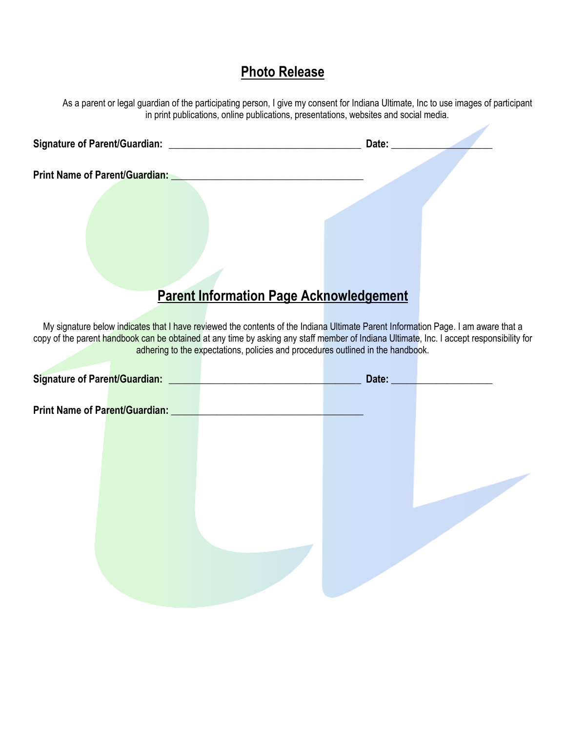# **Photo Release**

As a parent or legal guardian of the participating person, I give my consent for Indiana Ultimate, Inc to use images of participant in print publications, online publications, presentations, websites and social media.

| Signature of Parent/Guardian: ___     | Date:                                          |  |
|---------------------------------------|------------------------------------------------|--|
| <b>Print Name of Parent/Guardian:</b> |                                                |  |
|                                       |                                                |  |
|                                       |                                                |  |
|                                       |                                                |  |
|                                       |                                                |  |
|                                       | <b>Parent Information Page Acknowledgement</b> |  |

My signature below indicates that I have reviewed the contents of the Indiana Ultimate Parent Information Page. I am aware that a copy of the parent handbook can be obtained at any time by asking any staff member of Indiana Ultimate, Inc. I accept responsibility for adhering to the expectations, policies and procedures outlined in the handbook.

| Signature of Parent/Guardian:     | Date: |  |
|-----------------------------------|-------|--|
| Print Name of Parent/Guardian: __ |       |  |
|                                   |       |  |
|                                   |       |  |
|                                   |       |  |
|                                   |       |  |
|                                   |       |  |
|                                   |       |  |